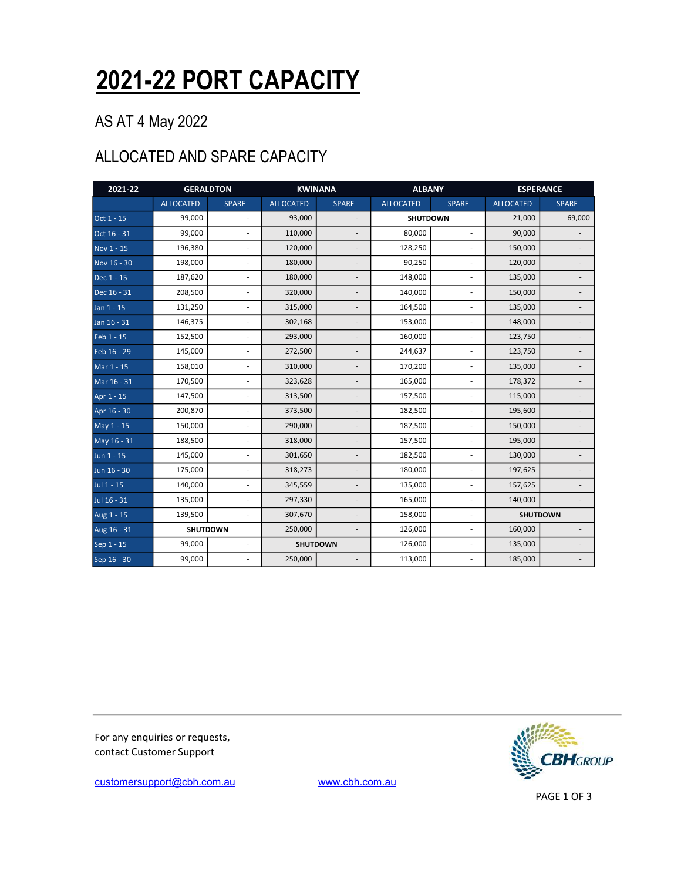## 2021-22 PORT CAPACITY

#### AS AT 4 May 2022

#### ALLOCATED AND SPARE CAPACITY

| 2021-22     | <b>GERALDTON</b> |                          | <b>KWINANA</b>   |                          | <b>ALBANY</b>    |                          | <b>ESPERANCE</b> |              |  |
|-------------|------------------|--------------------------|------------------|--------------------------|------------------|--------------------------|------------------|--------------|--|
|             | <b>ALLOCATED</b> | <b>SPARE</b>             | <b>ALLOCATED</b> | <b>SPARE</b>             | <b>ALLOCATED</b> | <b>SPARE</b>             | <b>ALLOCATED</b> | <b>SPARE</b> |  |
| Oct 1 - 15  | 99,000           |                          | 93,000           |                          | <b>SHUTDOWN</b>  |                          | 21,000           | 69,000       |  |
| Oct 16 - 31 | 99,000           | $\overline{\phantom{a}}$ | 110,000          |                          | 80,000           | ÷.                       | 90,000           |              |  |
| Nov 1 - 15  | 196,380          | ä,                       | 120,000          |                          | 128,250          |                          | 150,000          |              |  |
| Nov 16 - 30 | 198,000          | L.                       | 180,000          |                          | 90,250           | ä,                       | 120,000          |              |  |
| Dec 1 - 15  | 187,620          | ä,                       | 180,000          |                          | 148,000          |                          | 135,000          |              |  |
| Dec 16 - 31 | 208,500          | ÷,                       | 320,000          | ÷,                       | 140,000          | $\overline{\phantom{a}}$ | 150,000          |              |  |
| Jan 1 - 15  | 131,250          | ÷,                       | 315,000          | $\overline{a}$           | 164,500          | ä,                       | 135,000          |              |  |
| Jan 16 - 31 | 146,375          | L,                       | 302,168          |                          | 153,000          | ÷,                       | 148,000          |              |  |
| Feb 1 - 15  | 152,500          | $\overline{\phantom{a}}$ | 293,000          | $\overline{\phantom{a}}$ | 160,000          | $\sim$                   | 123,750          |              |  |
| Feb 16 - 29 | 145,000          |                          | 272,500          |                          | 244,637          |                          | 123,750          |              |  |
| Mar 1 - 15  | 158,010          | ä,                       | 310,000          |                          | 170,200          | ä,                       | 135,000          |              |  |
| Mar 16 - 31 | 170,500          |                          | 323,628          |                          | 165,000          |                          | 178,372          |              |  |
| Apr 1 - 15  | 147,500          | ÷,                       | 313,500          | $\overline{a}$           | 157,500          | $\overline{\phantom{a}}$ | 115,000          |              |  |
| Apr 16 - 30 | 200,870          | ÷,                       | 373,500          | $\overline{a}$           | 182,500          | $\overline{\phantom{a}}$ | 195,600          |              |  |
| May 1 - 15  | 150,000          | ÷,                       | 290,000          |                          | 187,500          | ÷,                       | 150,000          |              |  |
| May 16 - 31 | 188,500          | ÷,                       | 318,000          | ÷,                       | 157,500          | ä,                       | 195,000          |              |  |
| Jun 1 - 15  | 145,000          | L,                       | 301,650          |                          | 182,500          | ä,                       | 130,000          |              |  |
| Jun 16 - 30 | 175,000          | L.                       | 318,273          |                          | 180,000          | ä,                       | 197,625          |              |  |
| Jul 1 - 15  | 140,000          |                          | 345,559          |                          | 135,000          |                          | 157,625          |              |  |
| Jul 16 - 31 | 135,000          | $\overline{a}$           | 297,330          | L,                       | 165,000          | ÷.                       | 140,000          |              |  |
| Aug 1 - 15  | 139,500          | $\sim$                   | 307,670          | L.                       | 158,000          | ä,                       | <b>SHUTDOWN</b>  |              |  |
| Aug 16 - 31 |                  | <b>SHUTDOWN</b>          | 250,000          |                          | 126,000          | ÷,                       | 160,000          |              |  |
| Sep 1 - 15  | 99,000           | ÷,                       |                  | <b>SHUTDOWN</b>          | 126,000          | ä,                       | 135,000          |              |  |
| Sep 16 - 30 | 99,000           |                          | 250,000          |                          | 113,000          |                          | 185,000          |              |  |

For any enquiries or requests, contact Customer Support



customersupport@cbh.com.au www.cbh.com.au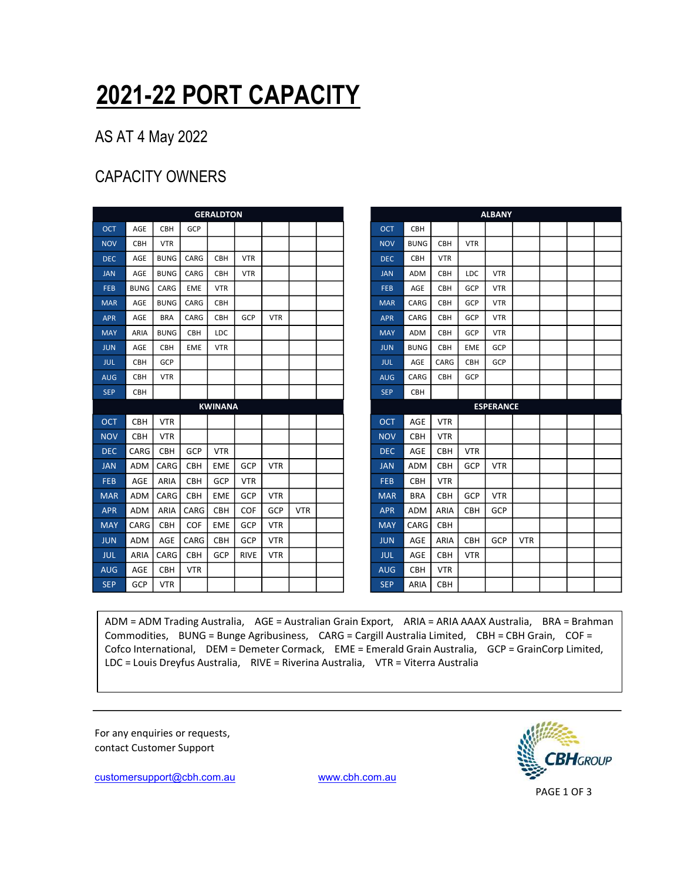# 2021-22 PORT CAPACITY

#### AS AT 4 May 2022

### CAPACITY OWNERS

|            |             |             |            | <b>GERALDTON</b> |             |            |            |  |            |             |                                  |  |
|------------|-------------|-------------|------------|------------------|-------------|------------|------------|--|------------|-------------|----------------------------------|--|
| <b>OCT</b> | AGE         | <b>CBH</b>  | GCP        |                  |             |            |            |  | <b>OCT</b> | <b>CBH</b>  |                                  |  |
| <b>NOV</b> | <b>CBH</b>  | <b>VTR</b>  |            |                  |             |            |            |  | <b>NOV</b> | <b>BUNG</b> | <b>CBH</b>                       |  |
| <b>DEC</b> | AGE         | <b>BUNG</b> | CARG       | <b>CBH</b>       | <b>VTR</b>  |            |            |  | <b>DEC</b> | <b>CBH</b>  | <b>VTR</b>                       |  |
| <b>JAN</b> | AGE         | <b>BUNG</b> | CARG       | <b>CBH</b>       | <b>VTR</b>  |            |            |  | <b>JAN</b> | <b>ADM</b>  | <b>CBH</b>                       |  |
| <b>FEB</b> | <b>BUNG</b> | CARG        | <b>EME</b> | <b>VTR</b>       |             |            |            |  | <b>FEB</b> | AGE         | <b>CBH</b>                       |  |
| <b>MAR</b> | AGE         | <b>BUNG</b> | CARG       | <b>CBH</b>       |             |            |            |  | <b>MAR</b> | CARG        | <b>CBH</b>                       |  |
| <b>APR</b> | AGE         | <b>BRA</b>  | CARG       | CBH              | GCP         | <b>VTR</b> |            |  | <b>APR</b> | CARG        | <b>CBH</b>                       |  |
| <b>MAY</b> | ARIA        | <b>BUNG</b> | <b>CBH</b> | <b>LDC</b>       |             |            |            |  | <b>MAY</b> | <b>ADM</b>  | <b>CBH</b>                       |  |
| <b>JUN</b> | AGE         | <b>CBH</b>  | <b>EME</b> | <b>VTR</b>       |             |            |            |  | <b>JUN</b> | <b>BUNG</b> | CBH                              |  |
| <b>JUL</b> | <b>CBH</b>  | GCP         |            |                  |             |            |            |  | <b>JUL</b> | AGE         | CARG                             |  |
| <b>AUG</b> | <b>CBH</b>  | <b>VTR</b>  |            |                  |             |            |            |  | <b>AUG</b> | CARG        | <b>CBH</b>                       |  |
| <b>SEP</b> | <b>CBH</b>  |             |            |                  |             |            |            |  | <b>SEP</b> | <b>CBH</b>  |                                  |  |
|            |             |             |            | <b>KWINANA</b>   |             |            |            |  |            |             |                                  |  |
| <b>OCT</b> | <b>CBH</b>  | <b>VTR</b>  |            |                  |             |            |            |  | <b>OCT</b> | AGE         | <b>VTR</b>                       |  |
| <b>NOV</b> | <b>CBH</b>  | <b>VTR</b>  |            |                  |             |            |            |  | <b>NOV</b> | <b>CBH</b>  | <b>VTR</b>                       |  |
| <b>DEC</b> | CARG        | <b>CBH</b>  | GCP        | <b>VTR</b>       |             |            |            |  | <b>DEC</b> | AGE         | <b>CBH</b>                       |  |
| <b>JAN</b> | <b>ADM</b>  | CARG        | <b>CBH</b> | <b>EME</b>       | GCP         | <b>VTR</b> |            |  | <b>JAN</b> | <b>ADM</b>  | <b>CBH</b>                       |  |
| <b>FEB</b> | AGE         | <b>ARIA</b> | <b>CBH</b> | GCP              | <b>VTR</b>  |            |            |  | FEB        | <b>CBH</b>  | <b>VTR</b>                       |  |
| <b>MAR</b> | <b>ADM</b>  | CARG        | <b>CBH</b> | <b>EME</b>       | GCP         | <b>VTR</b> |            |  | <b>MAR</b> | <b>BRA</b>  | <b>CBH</b>                       |  |
| <b>APR</b> | <b>ADM</b>  | ARIA        | CARG       | <b>CBH</b>       | COF         | GCP        | <b>VTR</b> |  | <b>APR</b> | <b>ADM</b>  | ARIA                             |  |
|            |             |             | COF        | <b>EME</b>       | GCP         | <b>VTR</b> |            |  | <b>MAY</b> | CARG        | <b>CBH</b>                       |  |
| <b>MAY</b> | CARG        | <b>CBH</b>  |            |                  |             |            |            |  |            |             |                                  |  |
| <b>JUN</b> | <b>ADM</b>  | AGE         | CARG       | <b>CBH</b>       | GCP         | <b>VTR</b> |            |  | <b>JUN</b> | AGE         |                                  |  |
| <b>JUL</b> | ARIA        | CARG        | <b>CBH</b> | <b>GCP</b>       | <b>RIVE</b> | <b>VTR</b> |            |  | <b>JUL</b> | AGE         |                                  |  |
| <b>AUG</b> | AGE         | <b>CBH</b>  | <b>VTR</b> |                  |             |            |            |  | <b>AUG</b> | <b>CBH</b>  | ARIA<br><b>CBH</b><br><b>VTR</b> |  |

ESPERANCE

ADM = ADM Trading Australia, AGE = Australian Grain Export, ARIA = ARIA AAAX Australia, BRA = Brahman Commodities, BUNG = Bunge Agribusiness, CARG = Cargill Australia Limited, CBH = CBH Grain, COF = Cofco International, DEM = Demeter Cormack, EME = Emerald Grain Australia, GCP = GrainCorp Limited, LDC = Louis Dreyfus Australia, RIVE = Riverina Australia, VTR = Viterra Australia

For any enquiries or requests, contact Customer Support

customersupport@cbh.com.au www.cbh.com.au



PAGE 1 OF 3